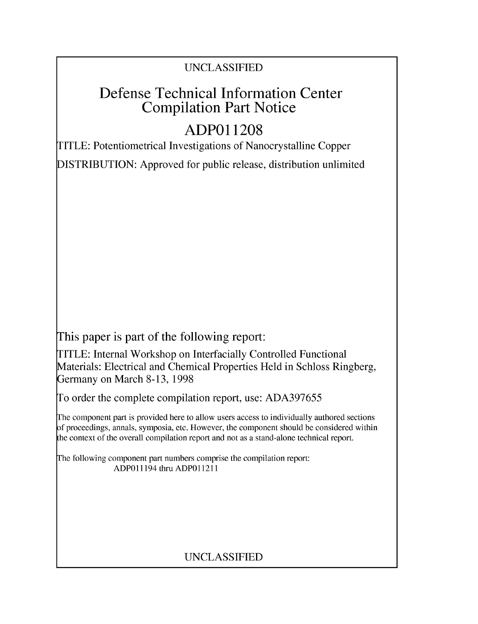## UNCLASSIFIED

# Defense Technical Information Center Compilation Part Notice

# **ADPO 11208**

TITLE: Potentiometrical Investigations of Nanocrystalline Copper

DISTRIBUTION: Approved for public release, distribution unlimited

This paper is part of the following report:

TITLE: Internal Workshop on Interfacially Controlled Functional Materials: Electrical and Chemical Properties Held in Schloss Ringberg, Germany on March 8-13, 1998

To order the complete compilation report, use: ADA397655

The component part is provided here to allow users access to individually authored sections f proceedings, annals, symposia, etc. However, the component should be considered within [he context of the overall compilation report and not as a stand-alone technical report.

The following component part numbers comprise the compilation report: ADPO11194 thru ADP011211

## UNCLASSIFIED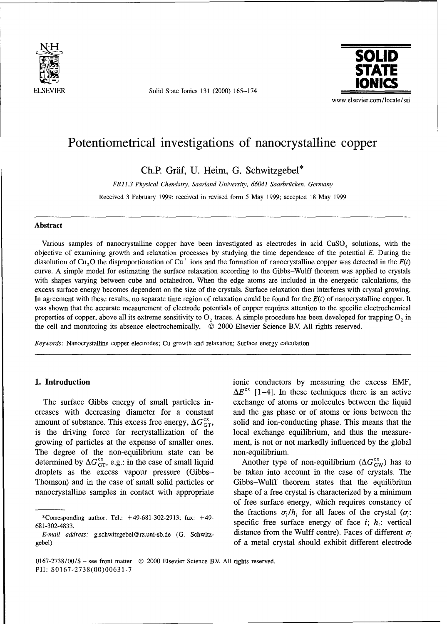

Solid State Ionics 131 (2000) 165-174



## Potentiometrical investigations of nanocrystalline copper

Ch.P. Gräf, U. Heim, G. Schwitzgebel\*

*FBll.3 Physical Chemistry, Saarland University, 66041 Saarbriicken, Germany* Received 3 February 1999; received in revised form 5 May 1999; accepted 18 May 1999

### Abstract

Various samples of nanocrystalline copper have been investigated as electrodes in acid  $CuSO<sub>4</sub>$  solutions, with the objective of examining growth and relaxation processes by studying the time dependence of the potential E. During the dissolution of Cu<sub>2</sub>O the disproportionation of Cu<sup> $+$ </sup> ions and the formation of nanocrystalline copper was detected in the  $E(t)$ curve. A simple model for estimating the surface relaxation according to the Gibbs-Wulff theorem was applied to crystals with shapes varying between cube and octahedron. When the edge atoms are included in the energetic calculations, the excess surface energy becomes dependent on the size of the crystals. Surface relaxation then interferes with crystal growing. In agreement with these results, no separate time region of relaxation could be found for the *E(t)* of nanocrystalline copper. It was shown that the accurate measurement of electrode potentials of copper requires attention to the specific electrochemical properties of copper, above all its extreme sensitivity to  $O_2$  traces. A simple procedure has been developed for trapping  $O_2$  in the cell and monitoring its absence electrochemically. © 2000 Elsevier Science B.V All rights reserved.

*Keywords:* Nanocrystalline copper electrodes; Cu growth and relaxation; Surface energy calculation

creases with decreasing diameter for a constant and the gas phase or of atoms or ions between the amount of substance. This excess free energy,  $\Delta G_{GT}^{\alpha}$ , solid and ion-conducting phase. This means that the is the driving force for recrystallization of the local exchange equilibrium, and thus the measuregrowing of particles at the expense of smaller ones. ment, is not or not markedly influenced by the global The degree of the non-equilibrium state can be non-equilibrium. determined by  $\Delta G_{\text{GT}}^{\text{ex}},$  e.g.: in the case of small liquid Another type of non-equilibrium  $(\Delta G_{\text{GW}}^{\text{ex}})$  has to droplets as the excess vapour pressure (Gibbs- be taken into account in the case of crystals. The Thomson) and in the case of small solid particles or Gibbs-Wulff theorem states that the equilibrium nanocrystalline samples in contact with appropriate shape of a free crystal is characterized by a minimum

**1. Introduction** ionic conductors by measuring the excess EMF,  $\Delta E^{ex}$  [1-4]. In these techniques there is an active The surface Gibbs energy of small particles in- exchange of atoms or molecules between the liquid

of free surface energy, which requires constancy of <sup>2</sup><br>
<sup>3</sup>Corresponding author. Tel.: +49-681-302-2913; fax: +49-<br>
<sup>3</sup>Corresponding author. Tel.: +49-681-302-2913; fax: +49-<br>
<sup>3</sup>Corresponding author. Tel.: +49-681-302-2913; fax: +49-<br>
<sup>3</sup>Corresponding author. Tel.: +49-6 *E-mail address:* g.schwitzgebel@rz.uni-sb.de (G. Schwitz-<br> *E-mail address:* g.schwitzgebel@rz.uni-sb.de (G. Schwitz-<br>
of a metal crystal should exhibit different electrode

<sup>0167-2738/00/\$ -</sup> see front matter © 2000 Elsevier Science BY. All rights reserved. PII: S0167-2738(00)00631-7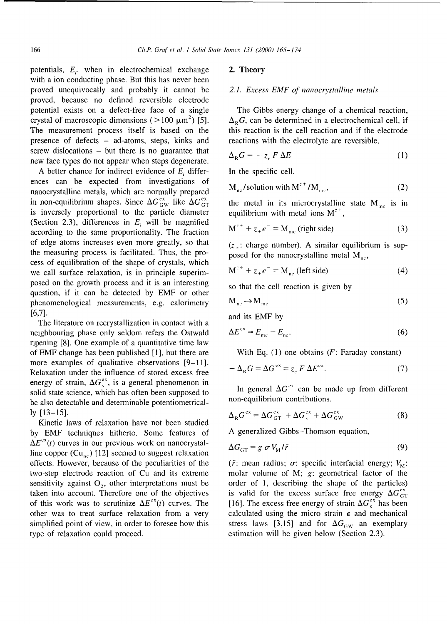potentials,  $E_i$ , when in electrochemical exchange **2. Theory** with a ion conducting phase. But this has never been proved unequivocally and probably it cannot be *2.1. Excess EMF of nanocrystalline metals* proved, because no defined reversible electrode potential exists on a defect-free face of a single The Gibbs energy change of a chemical reaction, crystal of macroscopic dimensions ( $>100 \mu m^2$ ) [5]. The measurement process itself is based on the this reaction is the cell reaction and if the electrode presence of defects - ad-atoms, steps, kinks and reactions with the electrolyte are reversible. screw dislocations - but there is no guarantee that  $\Delta_{\mathbb{R}}$ new face types do not appear when steps degenerate.

A better chance for indirect evidence of  $E_i$  differ- In the specific cell, ences can be expected from investigations of nanocrystalline metals, which are normally prepared in non-equilibrium shapes. Since  $\Delta G_{\text{GW}}^{\text{ex}}$  like  $\Delta G_{\text{GT}}^{\text{ex}}$  the metal in its microcrystalline state M<sub>mc</sub> is in is inversely proportional to the particle diameter equilibrium with metal ions  $M^{2+}$ , (Section 2.3), differences in  $E_i$  will be magnified according to the same proportionality. The fraction of edge atoms increases even more greatly, so that  $(z_{+})$ : charge number). A similar equilibrium is supthe measuring process is facilitated. Thus, the pro-<br>posed for the nanocrystalline metal  $M_{nc}$ , cess of equilibration of the shape of crystals, which we call surface relaxation, is in principle superimposed on the growth process and it is an interesting so that the cell reaction is given by question, if it can be detected by EMF or other phenomenological measurements, e.g. calorimetry [6,7]. and its EMF by

The literature on recrystallization in contact with a neighbouring phase only seldom refers the Ostwald ripening [8]. One example of a quantitative time law of EMF change has been published [1], but there are With Eq. (1) one obtains  $(F: Faraday constant)$ more examples of qualitative observations [9-11]. Relaxation under the influence of stored excess free energy of strain,  $\Delta G_s^{\text{ex}}$ , is a general phenomenon in solid state science, which has often been supposed to  $\ln \frac{1}{2}$  and  $\Delta G^{ex}$  can be made up from different has a use detectible and determinished potentionation. be also detectable and determinable potentiometrically [13–15]. **A**  $G^{ex} = \Delta G^{ex} + \Delta G^{ex} + \Delta G^{ex}$  (8) Kinetic laws of relaxation have not been studied **Kinetic** laws of relaxation have not been studied

by EMF techniques hitherto. Some features of A generalized Gibbs-Thomson equation,  $\Delta E^{ex}(t)$  curves in our previous work on nanocrystalline copper  $(Cu_{nc})$  [12] seemed to suggest relaxation effects. However, because of the peculiarities of the  $(\bar{r}: \text{mean radius}; \sigma)$ : specific interfacial energy;  $V_M$ : two-step electrode reaction of Cu and its extreme molar volume of M;  $g$ : geometrical factor of the sensitivity against  $O_2$ , other interpretations must be order of 1, describing the shape of the particles) taken into account. Therefore one of the objectives is valid for the excess surface free energy  $\Delta G_{\text{GT}}^{\text{ex}}$ of this work was to scrutinize  $\Delta E^{ex}(t)$  curves. The [16]. The excess free energy of strain  $\Delta G_{\rm s}^{ex}$  has been other was to treat surface relaxation from a very calculated using the micro strain  $\epsilon$  and mechanical simplified point of view, in order to foresee how this stress laws [3,15] and for  $\Delta G_{\text{GW}}$  an exemplary type of relaxation could proceed. estimation will be given below (Section 2.3).

 $\Delta_{\rm p}G$ , can be determined in a electrochemical cell, if

$$
\Delta_{\rm R} G = -z_{\rm c} F \Delta E \tag{1}
$$

$$
M_{nc}/\text{solution with M}^{z+}/M_{mc},\tag{2}
$$

$$
M^{z+} + z_+ e^- = M_{\text{mc}} \text{ (right side)}
$$
 (3)

$$
M^{z+} + z_+ e^- = M_{nc} \text{ (left side)}
$$
 (4)

$$
M_{nc} \rightarrow M_{mc} \tag{5}
$$

$$
\Delta E^{\text{ex}} = E_{\text{mc}} - E_{\text{nc}}.\tag{6}
$$

$$
-\Delta_{\rm R}G=\Delta G^{\rm ex}=\overline{z}_c F\,\Delta E^{\rm ex}.\tag{7}
$$

$$
\Delta_{\rm R} G^{\rm ex} = \Delta G^{\rm ex}_{\rm GT} + \Delta G^{\rm ex}_{\rm s} + \Delta G^{\rm ex}_{\rm GW} \tag{8}
$$

$$
\Delta G_{\text{GT}} = g \sigma V_{\text{M}} / \bar{r} \tag{9}
$$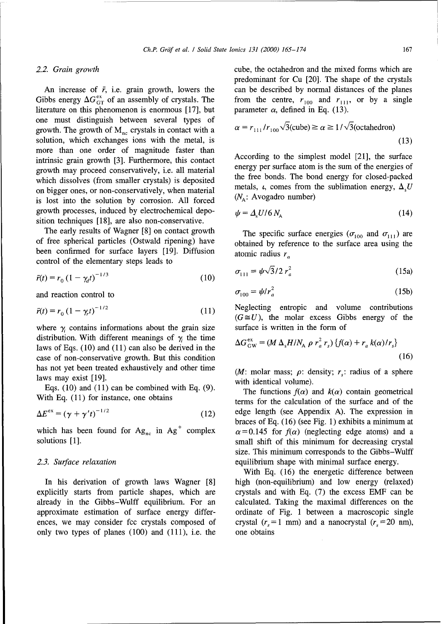Gibbs energy  $\Delta G_{GT}^{\text{ex}}$  of an assembly of crystals. The from the centre,  $r_{100}$  and  $r_{111}$ , or by a single literature on this phenomenon is enormous [17], but parameter  $\alpha$ , defined in Eq. (13). literature on this phenomenon is enormous  $[17]$ , but one must distinguish between several types of growth. The growth of M<sub>nc</sub> crystals in contact with a solution, which exchanges ions with the metal, is more than one order of magnitude faster than intrinsic grain growth [3]. Furthermore, this contact <br>interior according to the simplest model [21], the surface<br>the surface atom is the sum of the energies of growth may proceed conservatively, i.e. all material energy per surface atom is the sum of the energies of <br>which discolves (from emallor entrols) is deposited the free bonds. The bond energy for closed-packed which dissolves (from smaller crystals) is deposited the free bonds. The bond energy for closed-packed  $\theta$  metals,  $\iota$ , comes from the sublimation energy,  $\Delta_i U$ on bigger ones, or non-conservatively, when material metals,  $\iota$ , comes from the solution by corresponded and  $(N_A: Avogadro$  number) is lost into the solution by corrosion. All forced growth processes, induced by electrochemical deposition techniques [18], are also non-conservative.

The early results of Wagner [8] on contact growth The specific surface energies ( $\sigma_{100}$  and  $\sigma_{111}$ ) are of free spherical particles (Ostwald ripening) have obtained by reference to the surface area using the been confirmed for surface layers [19]. Diffusion atomic radius  $r_a$ control of the elementary steps leads to

$$
\bar{r}(t) = r_0 \left(1 - \gamma_d t\right)^{-1/3} \tag{10}
$$

and reaction control to *p* 

$$
\bar{r}(t) = r_0 (1 - \gamma t)^{-1/2}
$$
 (11)

where  $\gamma$  contains informations about the grain size surface is written in the form of distribution. With different meanings of  $\gamma$  the time laws of Eqs. (10) and (11) can also be derived in the case of non-conservative growth. But this condition has not yet been treated exhaustively and other time  $(M: \text{ molar mass}; \rho: \text{ density}; r_* : \text{ radius of a sphere})$ laws may exist  $[19]$ . with identical volume).

Eqs. (10) and (11) can be combined with Eq. (9). The functions  $f(\alpha)$  and  $k(\alpha)$  contain geometrical

$$
\Delta E^{\text{ex}} = \left(\gamma + \gamma' t\right)^{-1/2} \tag{12}
$$

explicitly starts from particle shapes, which are crystals and with Eq. (7) the excess EMF can be already in the Gibbs-Wulff equilibrium. For an calculated. Taking the maximal differences on the approximate estimation of surface energy differ- ordinate of Fig. 1 between a macroscopic single ences, we may consider fcc crystals composed of crystal  $(r<sub>s</sub>=1$  mm) and a nanocrystal  $(r<sub>s</sub>=20$  nm), only two types of planes (100) and (111), i.e. the one obtains

2.2. Grain growth **cube**, the octahedron and the mixed forms which are predominant for Cu [20]. The shape of the crystals An increase of  $\bar{r}$ , i.e. grain growth, lowers the can be described by normal distances of the planes

$$
\alpha = r_{111}/r_{100}\sqrt{3}(\text{cube}) \ge \alpha \ge 1/\sqrt{3}(\text{octahedron})
$$
\n(13)

$$
\psi = \Delta_s U / 6 N_A \tag{14}
$$

$$
\bar{r}(t) = r_0 \left(1 - \gamma_t t\right)^{-1/3}
$$
\n(15a)\n
$$
\bar{r}(t) = r_0 \left(1 - \gamma_t t\right)^{-1/3}
$$

$$
\tau_{100} = \psi / r_a^2 \tag{15b}
$$

Neglecting entropic and volume contributions  $(G \cong U)$ , the molar excess Gibbs energy of the

$$
\Delta G_{\rm GW}^{\rm ex} = (M \Delta_{\rm s} H/N_{\rm A} \rho r_a^2 r_s) \{f(\alpha) + r_a k(\alpha) / r_s\}
$$
\n(16)

With Eq. (11) for instance, one obtains terms for the calculation of the surface and of the edge length (see Appendix A). The expression in braces of Eq. (16) (see Fig. 1) exhibits a minimum at which has been found for  $Ag_{nc}$  in  $Ag^+$  complex  $\alpha = 0.145$  for  $f(\alpha)$  (neglecting edge atoms) and a solutions [1]. small shift of this minimum for decreasing crystal size. This minimum corresponds to the Gibbs-Wulff *2.3. Surface relaxation* equilibrium shape with minimal surface energy.

With Eq. (16) the energetic difference between In his derivation of growth laws Wagner [8] high (non-equilibrium) and low energy (relaxed)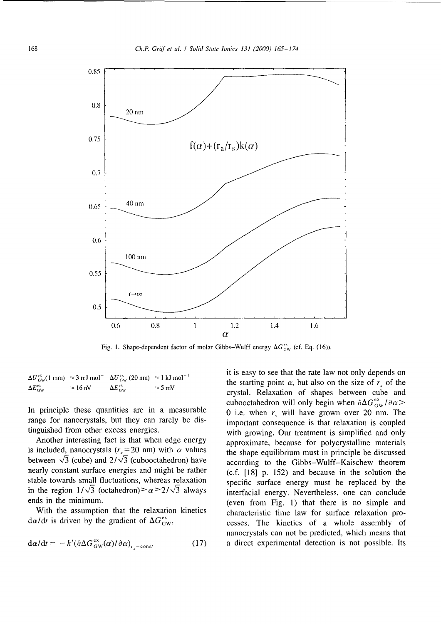

Fig. 1. Shape-dependent factor of molar Gibbs-Wulff energy  $\Delta G_{\rm GW}^{\rm ex}$  (cf. Eq. (16)).

|                                  |                         | $\Delta U_{\rm GW}^{\rm ex}(1\,{\rm mm})\approx 3\,{\rm mJ\,mol}^{-1}\,\,\Delta U_{\rm GW}^{\rm ex}(20\,{\rm nm})\approx 1\,{\rm kJ\,mol}^{-1}$ |                |
|----------------------------------|-------------------------|-------------------------------------------------------------------------------------------------------------------------------------------------|----------------|
| $\Delta E^{\text{ex}}_{\rm{GW}}$ | $\approx 16 \text{ nV}$ | $\Delta E_{\rm GW}^{\rm ex}$                                                                                                                    | $\approx$ 5 mV |

is included, nanocrystals  $(r_s=20 \text{ nm})$  with  $\alpha$  values the shape equilibrium must in principle be discussed between  $\sqrt{3}$  (cube) and  $2/\sqrt{3}$  (cubooctahedron) have according to the Gibbs-Wulff-Kaischew theorem nearly constant surface energies and might be rather  $(c.f. [18] p. 152)$  and because in the solution the stable towards small fluctuations, whereas relaxation specific surface energy must be replaced by the in the region  $1/\sqrt{3}$  (octahedron) $\ge \alpha \ge 2/\sqrt{3}$  always interfacial energy. Nevertheless, one can conclude

$$
d\alpha/dt = -k'(\partial \Delta G_{\text{GW}}^{\text{ex}}(\alpha)/\partial \alpha)_{r_{\text{c}}=\text{const}}
$$
 (17)

it is easy to see that the rate law not only depends on the starting point  $\alpha$ , but also on the size of r, of the crystal. Relaxation of shapes between cube and cubooctahedron will only begin when  $\partial \Delta G_{\text{GW}}^{\text{ex}}/\partial \alpha$ In principle these quantities are in a measurable  $\qquad$  0 i.e. when  $r_s$  will have grown over 20 nm. The range for nanocrystals, but they can rarely be dis-<br>important consequence is that relaxation is coupled tinguished from other excess energies. with growing. Our treatment is simplified and only Another interesting fact is that when edge energy approximate, because for polycrystalline materials ends in the minimum. (even from Fig. 1) that there is no simple and With the assumption that the relaxation kinetics characteristic time law for surface relaxation pro $d\alpha/dt$  is driven by the gradient of  $\Delta G_{\text{GW}}^{ex}$ , cesses. The kinetics of a whole assembly of nanocrystals can not be predicted, which means that a direct experimental detection is not possible. Its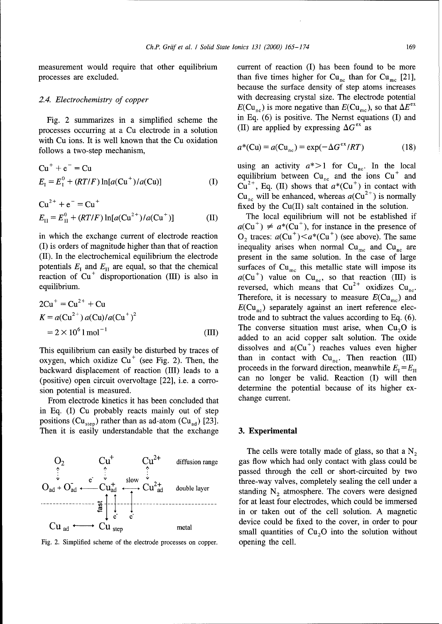measurement would require that other equilibrium current of reaction (I) has been found to be more processes are excluded. than five times higher for  $Cu_{nc}$  than for  $Cu_{mc}$  [21],

processes occurring at a Cu electrode in a solution with Cu ions. It is well known that the Cu oxidation follows a two-step mechanism,

$$
Cu+ + e- = CuE1 = E10 + (RT/F) ln[a(Cu+)/a(Cu)]
$$
 (I)

$$
Cu2+ + e- = Cu+
$$
  
\n
$$
E_{II} = E_{II}^{0} + (RT/F) \ln[a(Cu^{2+})/a(Cu^{+})]
$$
 (II)

potentials  $E_i$  and  $E_{II}$  are equal, so that the chemical surfaces of Cu<sub>mc</sub> this metallic state will impose its reaction of Cu<sup>+</sup> disproportionation (III) is also in  $a$ (Cu<sup>+</sup>) value on Cu<sub>nc</sub>, so that reaction (III) is

$$
2Cu+ = Cu2+ + Cu
$$
  
\n
$$
K = a(Cu2+) a(Cu)/a(Cu+)2
$$
  
\n
$$
= 2 \times 106 1 mol-1
$$
 (III)

oxygen, which oxidize Cu<sup>+</sup> (see Fig. 2). Then, the than in contact with Cu<sub>nc</sub>. Then reaction (III) backward displacement of reaction (III) leads to a proceeds in the forward direction, meanwhile  $E_i = E_{II}$ backward displacement of reaction (III) leads to a

From electrode kinetics it has been concluded that in Eq. (I) Cu probably reacts mainly out of step positions (Cu<sub>step</sub>) rather than as ad-atom (Cu<sub>ad</sub>) [23]. Then it is easily understandable that the exchange **3.** Experimental



Fig. 2. Simplified scheme of the electrode processes on copper. opening the cell.

because the surface density of step atoms increases *2.4. Electrochemistry of copper* with decreasing crystal size. The electrode potential  $E(Cu_{nc})$  is more negative than  $E(Cu_{mc})$ , so that  $\Delta E^{ex}$ Fig. 2 summarizes in a simplified scheme the in Eq. (6) is positive. The Nernst equations (I) and occurring at a Cu electrode in a solution (II) are applied by expressing  $\Delta G^{ex}$  as

$$
a^*(Cu) = a(Cu_{nc}) = \exp(-\Delta G^{ex}/RT)
$$
 (18)

using an activity  $a^*$  > 1 for Cu<sub>nc</sub>. In the local equilibrium between  $Cu_{nc}$  and the ions  $Cu<sup>+</sup>$  and  $Cu^{2+}$ , Eq. (II) shows that  $a^*(Cu^+)$  in contact with  $Cu_{nc}$  will be enhanced, whereas  $a(Cu^{2+})$  is normally fixed by the  $Cu(II)$  salt contained in the solution.

*Fig. The local equilibrium will not be established if*  $a(Cu^+) \neq a^*(Cu^+)$ , for instance in the presence of in which the exchange current of electrode reaction  $O_2$  traces:  $a(Cu^+) < a^*(Cu^+)$  (see above). The same (I) is orders of magnitude higher than that of reaction inequality arises when normal  $Cu_{\text{mc}}$  and  $Cu_{\text{nc}}$  are (II). In the electrochemical equilibrium the electrode present in the same solution. In the case of large equilibrium. The contract of the contract of the reversed, which means that  $Cu^{2+}$  oxidizes  $Cu_{nc}$ . Therefore, it is necessary to measure  $E(Cu_{mc})$  and  $E(Cu_{nc})$  separately against an inert reference electrode and to subtract the values according to Eq.  $(6)$ . The converse situation must arise, when  $Cu<sub>2</sub>O$  is added to an acid copper salt solution. The oxide This equilibrium can easily be disturbed by traces of dissolves and  $a(Cu^+)$  reaches values even higher oxygen, which oxidize  $Cu^+$  (see Fig. 2). Then, the than in contact with  $Cu_{nc}$ . Then reaction (III) (positive) open circuit overvoltage [22], i.e. a corro- can no longer be valid. Reaction (I) will then sion potential is measured.<br>From electrode kinetics it has been concluded that change current.

The cells were totally made of glass, so that a  $N<sub>2</sub>$ passed through the cell or short-circuited by two three-way valves, completely sealing the cell under a<br>double layer standing N atmosphere. The covers were designed standing  $N_2$  atmosphere. The covers were designed for at least four electrodes, which could be immersed in or taken out of the cell solution. A magnetic  $Cu$   $\longrightarrow$   $Cu$   $\longrightarrow$   $Cu$   $\longrightarrow$   $Cu$   $\longrightarrow$   $Cu$   $\longrightarrow$   $Cu$   $\longrightarrow$   $Cu$   $\longrightarrow$   $Cu$   $\longrightarrow$   $Cu$   $\longrightarrow$   $Cu$   $\longrightarrow$   $Cu$   $\longrightarrow$   $Cu$   $\longrightarrow$   $Cu$   $\longrightarrow$   $Cu$   $\longrightarrow$   $Cu$   $\longrightarrow$   $Cu$   $\longrightarrow$   $Cu$   $\longrightarrow$   $Cu$   $\longrightarrow$   $Cu$   $\longrightarrow$   $Cu$   $\longrightarrow$   $Cu$   $\longrightarrow$   $Cu$   $\longrightarrow$   $Cu$   $\longrightarrow$   $Cu$   $\longrightarrow$   $Cu$  small quantities of  $Cu<sub>2</sub>O$  into the solution without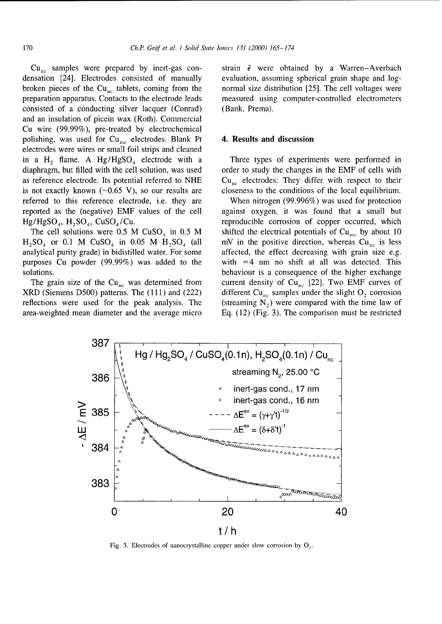densation [24]. Electrodes consisted of manually evaluation, assuming spherical grain shape and logbroken pieces of the  $Cu_{nc}$  tablets, coming from the normal size distribution [25]. The cell voltages were preparation apparatus. Contacts to the electrode leads measured using computer-controlled electrometers consisted of a conducting silver lacquer (Conrad) (Bank, Prema). and an insulation of picein wax (Roth). Commercial Cu wire (99.99%), pre-treated by electrochemical polishing, was used for  $Cu_{mc}$  electrodes. Blank Pt 4. Results and discussion electrodes were wires or small foil strips and cleaned in a H<sub>2</sub> flame. A Hg/HgSO<sub>4</sub> electrode with a Three types of experiments were performed in diaphragm, but filled with the cell solution, was used order to study the changes in the EMF of cells with as reference electrode. Its potential referred to NHE  $\qquad \text{Cu}_{\text{nc}}$  electrodes: They differ with respect to their is not exactly known  $(\sim 0.65 \text{ V})$ , so our results are closeness to the conditions of the local equilibrium. referred to this reference electrode, i.e. they are When nitrogen (99.996%) was used for protection reported as the (negative) EMF values of the cell against oxygen, it was found that a small but  $Hg/HgSO<sub>4</sub>$ ,  $H<sub>2</sub>SO<sub>4</sub>$ , CuSO<sub>4</sub>/Cu.

 $H_2SO_4$  or 0.1 M CuSO<sub>4</sub> in 0.05 M  $H_2SO_4$  (all mV in the positive direction, whereas Cu<sub>nc</sub> is less analytical purity grade) in bidistilled water. For some affected, the effect decreasing with grain size e.g. purposes Cu powder (99.99%) was added to the with  $=4$  nm no shift at all was detected. This

XRD (Siemens D500) patterns. The (111) and (222) different Cu<sub>nc</sub> samples under the slight  $O_2$  corrosion reflections were used for the peak analysis. The (streaming  $N<sub>2</sub>$ ) were compared with the time law of area-weighted mean diameter and the average micro Eq. (12) (Fig. 3). The comparison must be restricted

Cu<sub>nc</sub> samples were prepared by inert-gas con-<br>strain  $\bar{\epsilon}$  were obtained by a Warren-Averbach

reproducible corrosion of copper occurred, which The cell solutions were 0.5 M CuSO<sub>4</sub> in 0.5 M shifted the electrical potentials of Cu<sub>mc</sub> by about 10 solutions. **behaviour is a consequence of the higher exchange** behaviour is a consequence of the higher exchange The grain size of the Cu<sub>nc</sub> was determined from current density of Cu<sub>nc</sub> [22]. Two EMF curves of



Fig. 3. Electrodes of nanocrystalline copper under slow corrosion by **0.**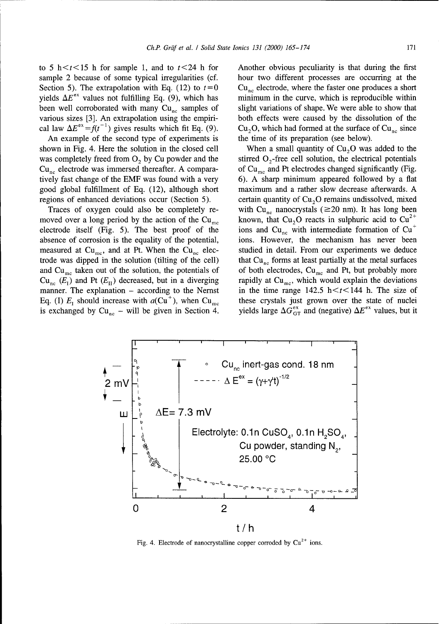to 5 h  $\lt t \lt 15$  h for sample 1, and to  $t \lt 24$  h for Another obvious peculiarity is that during the first yields  $\Delta E^{ex}$  values not fulfilling Eq. (9), which has minimum in the curve, which is reproducible within

An example of the second type of experiments is the time of its preparation (see below). shown in Fig. 4. Here the solution in the closed cell When a small quantity of  $Cu<sub>2</sub>O$  was added to the  $Cu_{nc}$  electrode was immersed thereafter. A compara- of  $Cu_{mc}$  and Pt electrodes changed significantly (Fig.

moved over a long period by the action of the Cu<sub>mc</sub> known, that Cu<sub>2</sub>O reacts in sulphuric acid to Cu<sup>2+</sup> electrode itself (Fig. 5). The best proof of the ions and  $Cu_{nc}$  with intermediate formation of  $Cu<sup>+</sup>$ absence of corrosion is the equality of the potential, ions. However, the mechanism has never been measured at  $Cu_{mc}$ , and at Pt. When the  $Cu_{nc}$  elec- studied in detail. From our experiments we deduce trode was dipped in the solution (tilting of the cell) that  $Cu_{nc}$  forms at least partially at the metal surfaces

sample 2 because of some typical irregularities (cf. hour two different processes are occurring at the Section 5). The extrapolation with Eq. (12) to  $t=0$  Cu<sub>ns</sub> electrode, where the faster one produces a short been well corroborated with many  $Cu_{nc}$  samples of slight variations of shape. We were able to show that various sizes [3]. An extrapolation using the empiri- both effects were caused by the dissolution of the cal law  $\Delta E^{ex} = f(t^{-1})$  gives results which fit Eq. (9). Cu<sub>2</sub>O, which had formed at the surface of Cu<sub>nc</sub> since

was completely freed from  $O_2$  by Cu powder and the stirred  $O_2$ -free cell solution, the electrical potentials tively fast change of the EMF was found with a very 6). A sharp minimum appeared followed by a flat good global fulfillment of Eq. (12), although short maximum and a rather slow decrease afterwards. A regions of enhanced deviations occur (Section 5). certain quantity of  $Cu<sub>2</sub>O$  remains undissolved, mixed Traces of oxygen could also be completely re- with  $Cu_{nc}$  nanocrystals ( $\geq$ 20 nm). It has long been and Cu<sub>me</sub> taken out of the solution, the potentials of of both electrodes, Cu<sub>me</sub> and Pt, but probably more  $Cu_{nc}$ ,  $(E_1)$  and Pt  $(E_{II})$  decreased, but in a diverging rapidly at  $Cu_{mc}$ , which would explain the deviations manner. The explanation – according to the Nernst in the time range  $142.5 \text{ h} < t < 144 \text{ h}$ . The size of Eq. (I)  $E_1$  should increase with  $a(Cu^+)$ , when  $Cu_{mc}$  these crystals just grown over the state of nuclei is exchanged by Cu<sub>nc</sub> – will be given in Section 4. yields large  $\Delta G_{GT}^{ex}$  and (negative)  $\Delta E^{ex}$  values, but it



Fig. 4. Electrode of nanocrystalline copper corroded by  $Cu^{2+}$  ions.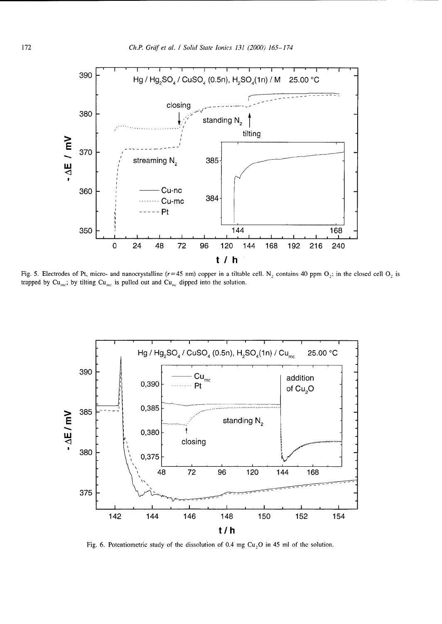

Fig. 5. Electrodes of Pt, micro- and nanocrystalline ( $r=45$  nm) copper in a tiltable cell. N<sub>2</sub> contains 40 ppm  $O_2$ ; in the closed cell  $O_2$  is trapped by  $Cu_{mc}$ ; by tilting  $Cu_{mc}$  is pulled out and  $Cu_{nc}$  dipped into the solution.



Fig. 6. Potentiometric study of the dissolution of 0.4 mg  $Cu<sub>2</sub>O$  in 45 ml of the solution.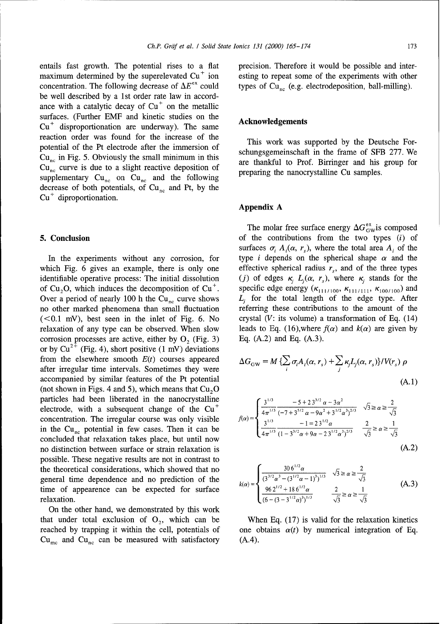entails fast growth. The potential rises to a flat precision. Therefore it would be possible and intermaximum determined by the superelevated  $Cu<sup>+</sup>$  ion esting to repeat some of the experiments with other concentration. The following decrease of  $\Delta E^{ex}$  could types of Cu<sub>nc</sub> (e.g. electrodeposition, ball-milling). be well described by a 1st order rate law in accordance with a catalytic decay of  $Cu<sup>+</sup>$  on the metallic surfaces. (Further EMF and kinetic studies on the  $Cu<sup>+</sup>$  disproportionation are underway). The same reaction order was found for the increase of the This work was supported **by** the Deutsche Forpotential of the Pt electrode after the immersion of schungsgemeinschaft in the frame of SFB 277. We  $Cu_{nc}$  in Fig. 5. Obviously the small minimum in this are thankful to Prof. Birringer and his group for  $Cu_{nc}$  curve is due to a slight reactive deposition of preparing the nanocrystalline Cu samples. supplementary  $Cu_{nc}$  on  $Cu_{nc}$  and the following decrease of both potentials, of  $Cu_{nc}$  and Pt, by the Cu **+** diproportionation.

which Fig. 6 gives an example, there is only one effective spherical radius  $r<sub>s</sub>$ , and of the three types identifiable operative process: The initial dissolution *(j)* of edges  $\kappa$ ,  $L_j(\alpha, r_s)$ , where  $\kappa_j$  stands for the of Cu<sub>2</sub>O, which induces the decomposition of Cu<sup>+</sup>. specific edge energy  $(\kappa_{111/100}, \kappa_{111/111}, \kappa_{100/100})$  and Over a period of nearly 100 h the Cu<sub>nc</sub> curve shows  $L_i$  for the total length of the edge type. After no other marked phenomena than small fluctuation referring these contributions to the amount of the  $( $0.1 \, \text{mV}$ ), best seen in the inlet of Fig. 6. No crystal (V: its volume) a transformation of Eq. (14)$ relaxation of any type can be observed. When slow leads to Eq. (16),where  $f(\alpha)$  and  $k(\alpha)$  are given by corrosion processes are active, either by  $O_2$  (Fig. 3) Eq. (A.2) and Eq. (A.3). or by  $Cu^{2+}$  (Fig. 4), short positive (1 mV) deviations from the elsewhere smooth  $E(t)$  courses appeared after irregular time intervals. Sometimes they were accompanied by similar features of the Pt potential (not shown in Figs. 4 and 5), which means that  $Cu<sub>2</sub>O$ particles had been liberated in the nanocrystalline<br>electrode, with a subsequent change of the Cu<sup>+</sup> concentration. The irregular course was only visible in the  $Cu_{nc}$  potential in few cases. Then it can be concluded that relaxation takes place, but until now no distinction between surface or strain relaxation is possible. These negative results are not in contrast to the theoretical considerations, which showed that no general time dependence and no prediction of the time of appearence can be expected for surface relaxation.  $\sqrt{6-(3-3^{1/2}\alpha)^3}$   $\sqrt{3}$ 

On the other hand, we demonstrated by this work that under total exclusion of  $O_2$ , which can be When Eq. (17) is valid for the relaxation kinetics  $Cu_{\text{mc}}$  and  $Cu_{\text{nc}}$  can be measured with satisfactory (A.4).

### **Acknowledgements**

### Appendix **A**

The molar free surface energy  $\Delta G_{\text{GW}}^{\text{ex}}$  is composed 5. Conclusion of the contributions from the two types (i) of surfaces  $\sigma_i$ ,  $A_i(\alpha, r_{s})$ , where the total area  $A_i$  of the In the experiments without any corrosion, for type i depends on the spherical shape  $\alpha$  and the

$$
\Delta G_{\text{GW}} = M \left\{ \sum_{i} \sigma_{i} A_{i}(\alpha, r_{s}) + \sum_{j} \kappa_{j} L_{j}(\alpha, r_{s}) \right\} / V(r_{s}) \rho
$$
\n(A.1)

$$
f(\alpha) = \begin{cases} \frac{3^{1/3}}{4\pi^{1/3}} \frac{-5 + 23^{3/2} \alpha - 3\alpha^2}{(-7 + 3^{5/2} \alpha - 9\alpha^2 + 3^{1/2} \alpha^3)^{2/3}} & \sqrt{3} \ge \alpha \ge \frac{2}{\sqrt{3}}\\ \frac{3^{1/3}}{4\pi^{1/3}} \frac{-1 = 23^{1/2} \alpha}{(1 - 3^{3/2} \alpha + 9\alpha - 23^{1/2} \alpha^3)^{2/3}} & \frac{2}{\sqrt{3}} \ge \alpha \ge \frac{1}{\sqrt{3}}\\ (A.2) \end{cases}
$$

$$
k(\alpha) = \begin{cases} \frac{306^{1/2} \alpha}{(3^{3/2} \alpha^3 - (3^{1/2} \alpha - 1)^3)^{1/3}} & \sqrt{3} \ge \alpha \ge \frac{2}{\sqrt{3}}\\ \frac{96 2^{1/2} + 186^{1/2} \alpha}{(6 - (3 - 3^{1/2} \alpha)^3)^{1/3}} & \frac{2}{\sqrt{3}} \ge \alpha \ge \frac{1}{\sqrt{3}} \end{cases}
$$
(A.3)

reached by trapping it within the cell, potentials of one obtains  $\alpha(t)$  by numerical integration of Eq.